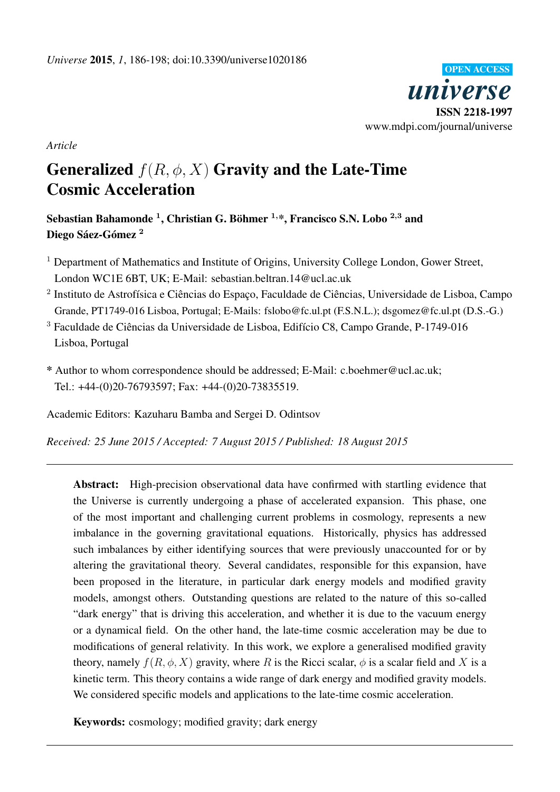

*Article*

# Generalized  $f(R, \phi, X)$  Gravity and the Late-Time Cosmic Acceleration

Sebastian Bahamonde  $^1,$  Christian G. Böhmer  $^{1,\ast},$  Francisco S.N. Lobo  $^{2,3}$  and Diego Sáez-Gómez <sup>2</sup>

- <sup>1</sup> Department of Mathematics and Institute of Origins, University College London, Gower Street, London WC1E 6BT, UK; E-Mail: sebastian.beltran.14@ucl.ac.uk
- <sup>2</sup> Instituto de Astrofísica e Ciências do Espaço, Faculdade de Ciências, Universidade de Lisboa, Campo Grande, PT1749-016 Lisboa, Portugal; E-Mails: fslobo@fc.ul.pt (F.S.N.L.); dsgomez@fc.ul.pt (D.S.-G.)
- <sup>3</sup> Faculdade de Ciências da Universidade de Lisboa, Edifício C8, Campo Grande, P-1749-016 Lisboa, Portugal
- \* Author to whom correspondence should be addressed; E-Mail: c.boehmer@ucl.ac.uk; Tel.: +44-(0)20-76793597; Fax: +44-(0)20-73835519.

Academic Editors: Kazuharu Bamba and Sergei D. Odintsov

*Received: 25 June 2015 / Accepted: 7 August 2015 / Published: 18 August 2015*

Abstract: High-precision observational data have confirmed with startling evidence that the Universe is currently undergoing a phase of accelerated expansion. This phase, one of the most important and challenging current problems in cosmology, represents a new imbalance in the governing gravitational equations. Historically, physics has addressed such imbalances by either identifying sources that were previously unaccounted for or by altering the gravitational theory. Several candidates, responsible for this expansion, have been proposed in the literature, in particular dark energy models and modified gravity models, amongst others. Outstanding questions are related to the nature of this so-called "dark energy" that is driving this acceleration, and whether it is due to the vacuum energy or a dynamical field. On the other hand, the late-time cosmic acceleration may be due to modifications of general relativity. In this work, we explore a generalised modified gravity theory, namely  $f(R, \phi, X)$  gravity, where R is the Ricci scalar,  $\phi$  is a scalar field and X is a kinetic term. This theory contains a wide range of dark energy and modified gravity models. We considered specific models and applications to the late-time cosmic acceleration.

Keywords: cosmology; modified gravity; dark energy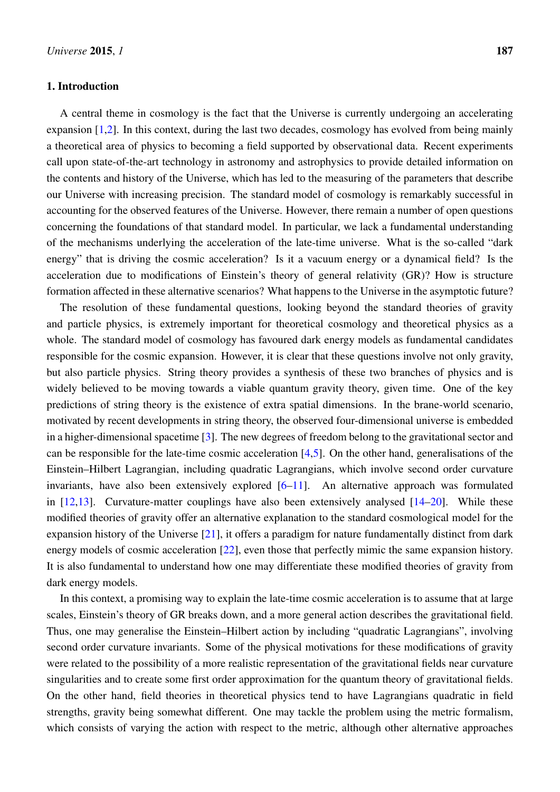# 1. Introduction

A central theme in cosmology is the fact that the Universe is currently undergoing an accelerating expansion [\[1,](#page-10-0)[2\]](#page-10-1). In this context, during the last two decades, cosmology has evolved from being mainly a theoretical area of physics to becoming a field supported by observational data. Recent experiments call upon state-of-the-art technology in astronomy and astrophysics to provide detailed information on the contents and history of the Universe, which has led to the measuring of the parameters that describe our Universe with increasing precision. The standard model of cosmology is remarkably successful in accounting for the observed features of the Universe. However, there remain a number of open questions concerning the foundations of that standard model. In particular, we lack a fundamental understanding of the mechanisms underlying the acceleration of the late-time universe. What is the so-called "dark energy" that is driving the cosmic acceleration? Is it a vacuum energy or a dynamical field? Is the acceleration due to modifications of Einstein's theory of general relativity (GR)? How is structure formation affected in these alternative scenarios? What happens to the Universe in the asymptotic future?

The resolution of these fundamental questions, looking beyond the standard theories of gravity and particle physics, is extremely important for theoretical cosmology and theoretical physics as a whole. The standard model of cosmology has favoured dark energy models as fundamental candidates responsible for the cosmic expansion. However, it is clear that these questions involve not only gravity, but also particle physics. String theory provides a synthesis of these two branches of physics and is widely believed to be moving towards a viable quantum gravity theory, given time. One of the key predictions of string theory is the existence of extra spatial dimensions. In the brane-world scenario, motivated by recent developments in string theory, the observed four-dimensional universe is embedded in a higher-dimensional spacetime [\[3\]](#page-10-2). The new degrees of freedom belong to the gravitational sector and can be responsible for the late-time cosmic acceleration  $[4,5]$  $[4,5]$ . On the other hand, generalisations of the Einstein–Hilbert Lagrangian, including quadratic Lagrangians, which involve second order curvature invariants, have also been extensively explored [\[6–](#page-10-5)[11\]](#page-10-6). An alternative approach was formulated in  $[12,13]$  $[12,13]$ . Curvature-matter couplings have also been extensively analysed  $[14–20]$  $[14–20]$ . While these modified theories of gravity offer an alternative explanation to the standard cosmological model for the expansion history of the Universe [\[21\]](#page-11-2), it offers a paradigm for nature fundamentally distinct from dark energy models of cosmic acceleration [\[22\]](#page-11-3), even those that perfectly mimic the same expansion history. It is also fundamental to understand how one may differentiate these modified theories of gravity from dark energy models.

In this context, a promising way to explain the late-time cosmic acceleration is to assume that at large scales, Einstein's theory of GR breaks down, and a more general action describes the gravitational field. Thus, one may generalise the Einstein–Hilbert action by including "quadratic Lagrangians", involving second order curvature invariants. Some of the physical motivations for these modifications of gravity were related to the possibility of a more realistic representation of the gravitational fields near curvature singularities and to create some first order approximation for the quantum theory of gravitational fields. On the other hand, field theories in theoretical physics tend to have Lagrangians quadratic in field strengths, gravity being somewhat different. One may tackle the problem using the metric formalism, which consists of varying the action with respect to the metric, although other alternative approaches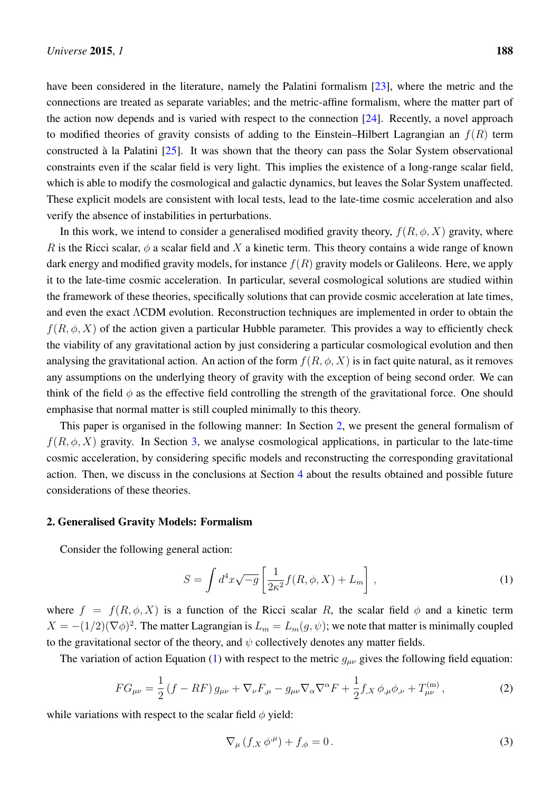have been considered in the literature, namely the Palatini formalism [\[23\]](#page-11-4), where the metric and the connections are treated as separate variables; and the metric-affine formalism, where the matter part of the action now depends and is varied with respect to the connection  $[24]$ . Recently, a novel approach to modified theories of gravity consists of adding to the Einstein–Hilbert Lagrangian an  $f(R)$  term constructed à la Palatini [\[25\]](#page-11-6). It was shown that the theory can pass the Solar System observational constraints even if the scalar field is very light. This implies the existence of a long-range scalar field, which is able to modify the cosmological and galactic dynamics, but leaves the Solar System unaffected. These explicit models are consistent with local tests, lead to the late-time cosmic acceleration and also

In this work, we intend to consider a generalised modified gravity theory,  $f(R, \phi, X)$  gravity, where R is the Ricci scalar,  $\phi$  a scalar field and X a kinetic term. This theory contains a wide range of known dark energy and modified gravity models, for instance  $f(R)$  gravity models or Galileons. Here, we apply it to the late-time cosmic acceleration. In particular, several cosmological solutions are studied within the framework of these theories, specifically solutions that can provide cosmic acceleration at late times, and even the exact ΛCDM evolution. Reconstruction techniques are implemented in order to obtain the  $f(R, \phi, X)$  of the action given a particular Hubble parameter. This provides a way to efficiently check the viability of any gravitational action by just considering a particular cosmological evolution and then analysing the gravitational action. An action of the form  $f(R, \phi, X)$  is in fact quite natural, as it removes any assumptions on the underlying theory of gravity with the exception of being second order. We can think of the field  $\phi$  as the effective field controlling the strength of the gravitational force. One should emphasise that normal matter is still coupled minimally to this theory.

This paper is organised in the following manner: In Section [2,](#page-2-0) we present the general formalism of  $f(R, \phi, X)$  gravity. In Section [3,](#page-4-0) we analyse cosmological applications, in particular to the late-time cosmic acceleration, by considering specific models and reconstructing the corresponding gravitational action. Then, we discuss in the conclusions at Section [4](#page-9-0) about the results obtained and possible future considerations of these theories.

# <span id="page-2-0"></span>2. Generalised Gravity Models: Formalism

verify the absence of instabilities in perturbations.

Consider the following general action:

<span id="page-2-1"></span>
$$
S = \int d^4x \sqrt{-g} \left[ \frac{1}{2\kappa^2} f(R, \phi, X) + L_m \right], \qquad (1)
$$

where  $f = f(R, \phi, X)$  is a function of the Ricci scalar R, the scalar field  $\phi$  and a kinetic term  $X = -(1/2)(\nabla \phi)^2$ . The matter Lagrangian is  $L_m = L_m(g, \psi)$ ; we note that matter is minimally coupled to the gravitational sector of the theory, and  $\psi$  collectively denotes any matter fields.

The variation of action Equation [\(1\)](#page-2-1) with respect to the metric  $g_{\mu\nu}$  gives the following field equation:

<span id="page-2-2"></span>
$$
FG_{\mu\nu} = \frac{1}{2} \left( f - RF \right) g_{\mu\nu} + \nabla_{\nu} F_{,\mu} - g_{\mu\nu} \nabla_{\alpha} \nabla^{\alpha} F + \frac{1}{2} f_{,X} \phi_{,\mu} \phi_{,\nu} + T_{\mu\nu}^{(m)}, \tag{2}
$$

while variations with respect to the scalar field  $\phi$  yield:

<span id="page-2-3"></span>
$$
\nabla_{\mu} \left( f_{,X} \, \phi^{\mu} \right) + f_{,\phi} = 0 \,. \tag{3}
$$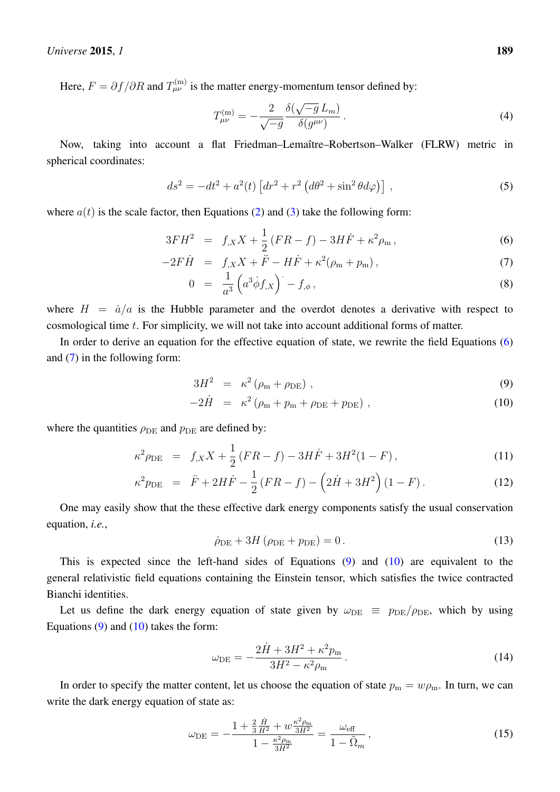Here,  $F = \partial f / \partial R$  and  $T_{\mu\nu}^{(m)}$  is the matter energy-momentum tensor defined by:

$$
T_{\mu\nu}^{(m)} = -\frac{2}{\sqrt{-g}} \frac{\delta(\sqrt{-g} L_m)}{\delta(g^{\mu\nu})}.
$$
 (4)

Now, taking into account a flat Friedman–Lemaître–Robertson–Walker (FLRW) metric in spherical coordinates:

<span id="page-3-2"></span>
$$
ds^{2} = -dt^{2} + a^{2}(t) \left[ dr^{2} + r^{2} \left( d\theta^{2} + \sin^{2} \theta d\varphi \right) \right],
$$
\n(5)

where  $a(t)$  is the scale factor, then Equations [\(2\)](#page-2-2) and [\(3\)](#page-2-3) take the following form:

<span id="page-3-0"></span>
$$
3FH^{2} = f_{,X}X + \frac{1}{2}(FR - f) - 3H\dot{F} + \kappa^{2}\rho_{m},
$$
\n(6)

$$
-2F\dot{H} = f_{,X}X + \ddot{F} - H\dot{F} + \kappa^2(\rho_m + p_m),
$$
\n(7)

$$
0 = \frac{1}{a^3} \left( a^3 \dot{\phi} f_{,X} \right) - f_{,\phi} , \qquad (8)
$$

where  $H = \dot{a}/a$  is the Hubble parameter and the overdot denotes a derivative with respect to cosmological time t. For simplicity, we will not take into account additional forms of matter.

In order to derive an equation for the effective equation of state, we rewrite the field Equations [\(6\)](#page-3-0) and  $(7)$  in the following form:

<span id="page-3-1"></span>
$$
3H^2 = \kappa^2 \left( \rho_m + \rho_{\rm DE} \right) , \qquad (9)
$$

$$
-2\dot{H} = \kappa^2 (\rho_m + p_m + \rho_{DE} + p_{DE}), \qquad (10)
$$

where the quantities  $\rho_{\text{DE}}$  and  $p_{\text{DE}}$  are defined by:

$$
\kappa^2 \rho_{\rm DE} = f_{,X} X + \frac{1}{2} (FR - f) - 3H\dot{F} + 3H^2(1 - F) , \qquad (11)
$$

$$
\kappa^2 p_{\rm DE} = \ddot{F} + 2H\dot{F} - \frac{1}{2}(FR - f) - (2\dot{H} + 3H^2)(1 - F). \tag{12}
$$

One may easily show that the these effective dark energy components satisfy the usual conservation equation, *i.e.*,

$$
\dot{\rho}_{DE} + 3H (\rho_{DE} + p_{DE}) = 0.
$$
 (13)

This is expected since the left-hand sides of Equations [\(9\)](#page-3-1) and [\(10\)](#page-3-1) are equivalent to the general relativistic field equations containing the Einstein tensor, which satisfies the twice contracted Bianchi identities.

Let us define the dark energy equation of state given by  $\omega_{\text{DE}} \equiv p_{\text{DE}}/\rho_{\text{DE}}$ , which by using Equations  $(9)$  and  $(10)$  takes the form:

$$
\omega_{\rm DE} = -\frac{2\dot{H} + 3H^2 + \kappa^2 p_{\rm m}}{3H^2 - \kappa^2 \rho_{\rm m}}.
$$
\n(14)

In order to specify the matter content, let us choose the equation of state  $p_m = w \rho_m$ . In turn, we can write the dark energy equation of state as:

$$
\omega_{\rm DE} = -\frac{1 + \frac{2}{3}\frac{\dot{H}}{H^2} + w\frac{\kappa^2 \rho_{\rm m}}{3H^2}}{1 - \frac{\kappa^2 \rho_{\rm m}}{3H^2}} = \frac{\omega_{\rm eff}}{1 - \tilde{\Omega}_m},\tag{15}
$$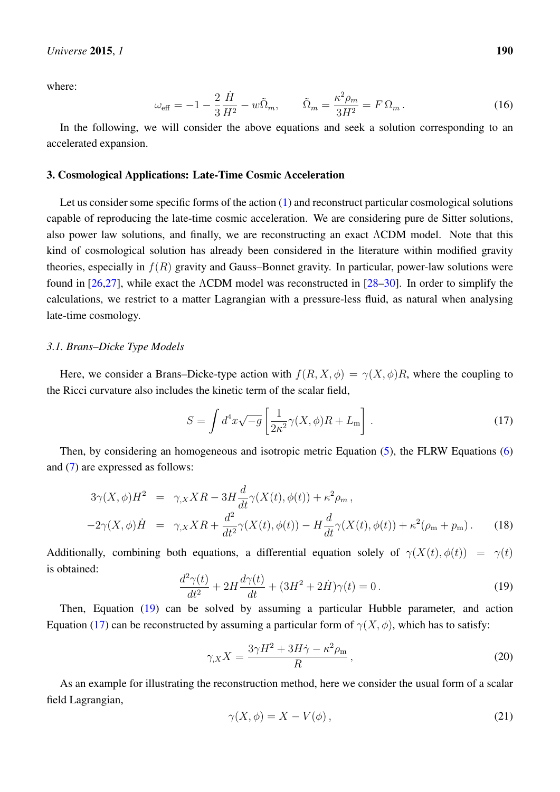## *Universe* 2015, *1* 190

where:

$$
\omega_{\text{eff}} = -1 - \frac{2}{3} \frac{\dot{H}}{H^2} - w \tilde{\Omega}_m, \qquad \tilde{\Omega}_m = \frac{\kappa^2 \rho_m}{3H^2} = F \Omega_m. \tag{16}
$$

In the following, we will consider the above equations and seek a solution corresponding to an accelerated expansion.

## <span id="page-4-0"></span>3. Cosmological Applications: Late-Time Cosmic Acceleration

Let us consider some specific forms of the action [\(1\)](#page-2-1) and reconstruct particular cosmological solutions capable of reproducing the late-time cosmic acceleration. We are considering pure de Sitter solutions, also power law solutions, and finally, we are reconstructing an exact ΛCDM model. Note that this kind of cosmological solution has already been considered in the literature within modified gravity theories, especially in  $f(R)$  gravity and Gauss–Bonnet gravity. In particular, power-law solutions were found in [\[26](#page-11-7)[,27\]](#page-11-8), while exact the ΛCDM model was reconstructed in [\[28](#page-11-9)[–30\]](#page-11-10). In order to simplify the calculations, we restrict to a matter Lagrangian with a pressure-less fluid, as natural when analysing late-time cosmology.

# *3.1. Brans–Dicke Type Models*

Here, we consider a Brans–Dicke-type action with  $f(R, X, \phi) = \gamma(X, \phi)R$ , where the coupling to the Ricci curvature also includes the kinetic term of the scalar field,

<span id="page-4-2"></span>
$$
S = \int d^4x \sqrt{-g} \left[ \frac{1}{2\kappa^2} \gamma(X, \phi) R + L_{\rm m} \right]. \tag{17}
$$

Then, by considering an homogeneous and isotropic metric Equation [\(5\)](#page-3-2), the FLRW Equations [\(6\)](#page-3-0) and [\(7\)](#page-3-0) are expressed as follows:

$$
3\gamma(X,\phi)H^{2} = \gamma_{,X}XR - 3H\frac{d}{dt}\gamma(X(t),\phi(t)) + \kappa^{2}\rho_{m},
$$
  

$$
-2\gamma(X,\phi)\dot{H} = \gamma_{,X}XR + \frac{d^{2}}{dt^{2}}\gamma(X(t),\phi(t)) - H\frac{d}{dt}\gamma(X(t),\phi(t)) + \kappa^{2}(\rho_{m} + p_{m}).
$$
 (18)

Additionally, combining both equations, a differential equation solely of  $\gamma(X(t), \phi(t)) = \gamma(t)$ is obtained:

<span id="page-4-1"></span>
$$
\frac{d^2\gamma(t)}{dt^2} + 2H\frac{d\gamma(t)}{dt} + (3H^2 + 2\dot{H})\gamma(t) = 0.
$$
\n(19)

Then, Equation [\(19\)](#page-4-1) can be solved by assuming a particular Hubble parameter, and action Equation [\(17\)](#page-4-2) can be reconstructed by assuming a particular form of  $\gamma(X, \phi)$ , which has to satisfy:

<span id="page-4-3"></span>
$$
\gamma_{,X}X = \frac{3\gamma H^2 + 3H\dot{\gamma} - \kappa^2 \rho_{\rm m}}{R} \,,\tag{20}
$$

As an example for illustrating the reconstruction method, here we consider the usual form of a scalar field Lagrangian,

<span id="page-4-4"></span>
$$
\gamma(X,\phi) = X - V(\phi),\tag{21}
$$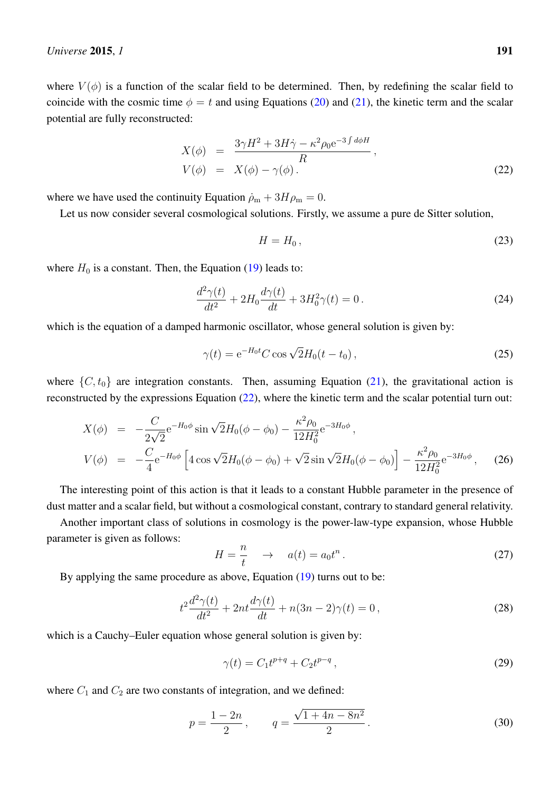where  $V(\phi)$  is a function of the scalar field to be determined. Then, by redefining the scalar field to coincide with the cosmic time  $\phi = t$  and using Equations [\(20\)](#page-4-3) and [\(21\)](#page-4-4), the kinetic term and the scalar potential are fully reconstructed:

<span id="page-5-0"></span>
$$
X(\phi) = \frac{3\gamma H^2 + 3H\dot{\gamma} - \kappa^2 \rho_0 e^{-3\int d\phi H}}{R},
$$
  
\n
$$
V(\phi) = X(\phi) - \gamma(\phi).
$$
\n(22)

where we have used the continuity Equation  $\dot{\rho}_m + 3H\rho_m = 0$ .

Let us now consider several cosmological solutions. Firstly, we assume a pure de Sitter solution,

<span id="page-5-2"></span>
$$
H = H_0, \tag{23}
$$

where  $H_0$  is a constant. Then, the Equation [\(19\)](#page-4-1) leads to:

$$
\frac{d^2\gamma(t)}{dt^2} + 2H_0 \frac{d\gamma(t)}{dt} + 3H_0^2 \gamma(t) = 0.
$$
\n(24)

which is the equation of a damped harmonic oscillator, whose general solution is given by:

$$
\gamma(t) = e^{-H_0 t} C \cos \sqrt{2} H_0 (t - t_0), \qquad (25)
$$

where  $\{C, t_0\}$  are integration constants. Then, assuming Equation [\(21\)](#page-4-4), the gravitational action is reconstructed by the expressions Equation [\(22\)](#page-5-0), where the kinetic term and the scalar potential turn out:

$$
X(\phi) = -\frac{C}{2\sqrt{2}} e^{-H_0 \phi} \sin \sqrt{2} H_0 (\phi - \phi_0) - \frac{\kappa^2 \rho_0}{12 H_0^2} e^{-3H_0 \phi},
$$
  
\n
$$
V(\phi) = -\frac{C}{4} e^{-H_0 \phi} \left[ 4 \cos \sqrt{2} H_0 (\phi - \phi_0) + \sqrt{2} \sin \sqrt{2} H_0 (\phi - \phi_0) \right] - \frac{\kappa^2 \rho_0}{12 H_0^2} e^{-3H_0 \phi}, \quad (26)
$$

The interesting point of this action is that it leads to a constant Hubble parameter in the presence of dust matter and a scalar field, but without a cosmological constant, contrary to standard general relativity.

Another important class of solutions in cosmology is the power-law-type expansion, whose Hubble parameter is given as follows:

<span id="page-5-1"></span>
$$
H = \frac{n}{t} \quad \to \quad a(t) = a_0 t^n \,. \tag{27}
$$

By applying the same procedure as above, Equation [\(19\)](#page-4-1) turns out to be:

$$
t^{2}\frac{d^{2}\gamma(t)}{dt^{2}} + 2nt\frac{d\gamma(t)}{dt} + n(3n - 2)\gamma(t) = 0,
$$
\n(28)

which is a Cauchy–Euler equation whose general solution is given by:

$$
\gamma(t) = C_1 t^{p+q} + C_2 t^{p-q},\tag{29}
$$

where  $C_1$  and  $C_2$  are two constants of integration, and we defined:

$$
p = \frac{1 - 2n}{2}, \qquad q = \frac{\sqrt{1 + 4n - 8n^2}}{2}.
$$
 (30)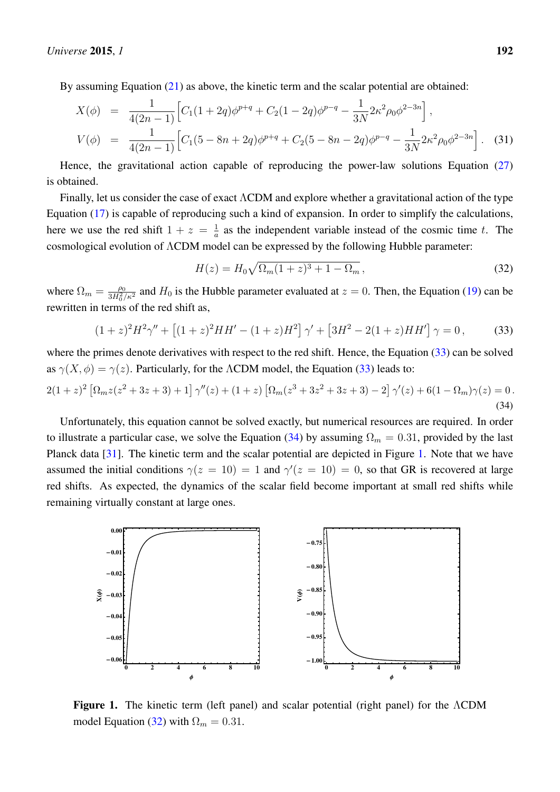By assuming Equation [\(21\)](#page-4-4) as above, the kinetic term and the scalar potential are obtained:

$$
X(\phi) = \frac{1}{4(2n-1)} \Big[ C_1(1+2q)\phi^{p+q} + C_2(1-2q)\phi^{p-q} - \frac{1}{3N} 2\kappa^2 \rho_0 \phi^{2-3n} \Big],
$$
  
\n
$$
V(\phi) = \frac{1}{4(2n-1)} \Big[ C_1(5-8n+2q)\phi^{p+q} + C_2(5-8n-2q)\phi^{p-q} - \frac{1}{3N} 2\kappa^2 \rho_0 \phi^{2-3n} \Big].
$$
 (31)

Hence, the gravitational action capable of reproducing the power-law solutions Equation [\(27\)](#page-5-1) is obtained.

Finally, let us consider the case of exact ΛCDM and explore whether a gravitational action of the type Equation [\(17\)](#page-4-2) is capable of reproducing such a kind of expansion. In order to simplify the calculations, here we use the red shift  $1 + z = \frac{1}{a}$  $\frac{1}{a}$  as the independent variable instead of the cosmic time t. The cosmological evolution of ΛCDM model can be expressed by the following Hubble parameter:

<span id="page-6-3"></span>
$$
H(z) = H_0 \sqrt{\Omega_m (1+z)^3 + 1 - \Omega_m} \,, \tag{32}
$$

where  $\Omega_m = \frac{\rho_0}{3H_2^2}$  $\frac{\rho_0}{3H_0^2/\kappa^2}$  and  $H_0$  is the Hubble parameter evaluated at  $z = 0$ . Then, the Equation [\(19\)](#page-4-1) can be rewritten in terms of the red shift as,

<span id="page-6-0"></span>
$$
(1+z)^{2}H^{2}\gamma'' + \left[ (1+z)^{2}HH' - (1+z)H^{2} \right] \gamma' + \left[ 3H^{2} - 2(1+z)HH' \right] \gamma = 0, \tag{33}
$$

where the primes denote derivatives with respect to the red shift. Hence, the Equation [\(33\)](#page-6-0) can be solved as  $\gamma(X, \phi) = \gamma(z)$ . Particularly, for the ΛCDM model, the Equation [\(33\)](#page-6-0) leads to:

<span id="page-6-1"></span>
$$
2(1+z)^2 \left[ \Omega_m z (z^2 + 3z + 3) + 1 \right] \gamma''(z) + (1+z) \left[ \Omega_m (z^3 + 3z^2 + 3z + 3) - 2 \right] \gamma'(z) + 6(1 - \Omega_m) \gamma(z) = 0. \tag{34}
$$

Unfortunately, this equation cannot be solved exactly, but numerical resources are required. In order to illustrate a particular case, we solve the Equation [\(34\)](#page-6-1) by assuming  $\Omega_m = 0.31$ , provided by the last Planck data [\[31\]](#page-11-11). The kinetic term and the scalar potential are depicted in Figure [1.](#page-6-2) Note that we have assumed the initial conditions  $\gamma(z=10) = 1$  and  $\gamma'(z=10) = 0$ , so that GR is recovered at large red shifts. As expected, the dynamics of the scalar field become important at small red shifts while remaining virtually constant at large ones.

<span id="page-6-2"></span>

Figure 1. The contract term (left panel) and scalar potential potential potential potential (right panel) for the  $\Lambda$ **Figure 1.** The kinetic term (left panel) and scalar potential (right panel) for the ΛCDM model Equation [\(32\)](#page-6-3) with  $\Omega_m = 0.31$ .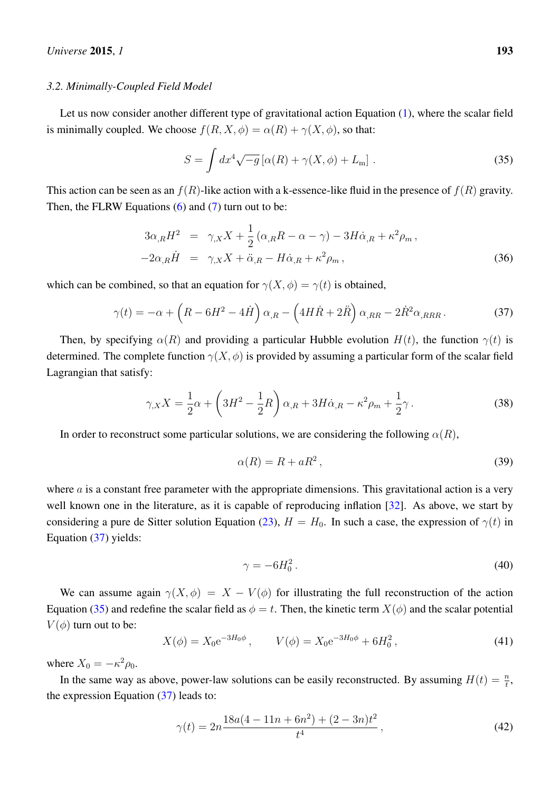#### *3.2. Minimally-Coupled Field Model*

Let us now consider another different type of gravitational action Equation [\(1\)](#page-2-1), where the scalar field is minimally coupled. We choose  $f(R, X, \phi) = \alpha(R) + \gamma(X, \phi)$ , so that:

<span id="page-7-1"></span>
$$
S = \int dx^4 \sqrt{-g} \left[ \alpha(R) + \gamma(X, \phi) + L_m \right]. \tag{35}
$$

This action can be seen as an  $f(R)$ -like action with a k-essence-like fluid in the presence of  $f(R)$  gravity. Then, the FLRW Equations  $(6)$  and  $(7)$  turn out to be:

<span id="page-7-3"></span>
$$
3\alpha_{,R}H^2 = \gamma_{,X}X + \frac{1}{2}(\alpha_{,R}R - \alpha - \gamma) - 3H\dot{\alpha}_{,R} + \kappa^2 \rho_m,
$$
  

$$
-2\alpha_{,R}\dot{H} = \gamma_{,X}X + \ddot{\alpha}_{,R} - H\dot{\alpha}_{,R} + \kappa^2 \rho_m,
$$
 (36)

which can be combined, so that an equation for  $\gamma(X, \phi) = \gamma(t)$  is obtained,

<span id="page-7-0"></span>
$$
\gamma(t) = -\alpha + \left(R - 6H^2 - 4\dot{H}\right)\alpha_{,R} - \left(4H\dot{R} + 2\ddot{R}\right)\alpha_{,RR} - 2\dot{R}^2\alpha_{,RRR}.
$$
 (37)

Then, by specifying  $\alpha(R)$  and providing a particular Hubble evolution  $H(t)$ , the function  $\gamma(t)$  is determined. The complete function  $\gamma(X, \phi)$  is provided by assuming a particular form of the scalar field Lagrangian that satisfy:

$$
\gamma_{,X}X = \frac{1}{2}\alpha + \left(3H^2 - \frac{1}{2}R\right)\alpha_{,R} + 3H\dot{\alpha}_{,R} - \kappa^2\rho_m + \frac{1}{2}\gamma\,. \tag{38}
$$

In order to reconstruct some particular solutions, we are considering the following  $\alpha(R)$ ,

<span id="page-7-2"></span>
$$
\alpha(R) = R + aR^2, \tag{39}
$$

where  $\alpha$  is a constant free parameter with the appropriate dimensions. This gravitational action is a very well known one in the literature, as it is capable of reproducing inflation [\[32\]](#page-11-12). As above, we start by considering a pure de Sitter solution Equation [\(23\)](#page-5-2),  $H = H_0$ . In such a case, the expression of  $\gamma(t)$  in Equation [\(37\)](#page-7-0) yields:

$$
\gamma = -6H_0^2. \tag{40}
$$

We can assume again  $\gamma(X, \phi) = X - V(\phi)$  for illustrating the full reconstruction of the action Equation [\(35\)](#page-7-1) and redefine the scalar field as  $\phi = t$ . Then, the kinetic term  $X(\phi)$  and the scalar potential  $V(\phi)$  turn out to be:

$$
X(\phi) = X_0 e^{-3H_0 \phi}, \qquad V(\phi) = X_0 e^{-3H_0 \phi} + 6H_0^2, \tag{41}
$$

where  $X_0 = -\kappa^2 \rho_0$ .

In the same way as above, power-law solutions can be easily reconstructed. By assuming  $H(t) = \frac{n}{t}$ , the expression Equation [\(37\)](#page-7-0) leads to:

$$
\gamma(t) = 2n \frac{18a(4 - 11n + 6n^2) + (2 - 3n)t^2}{t^4},\tag{42}
$$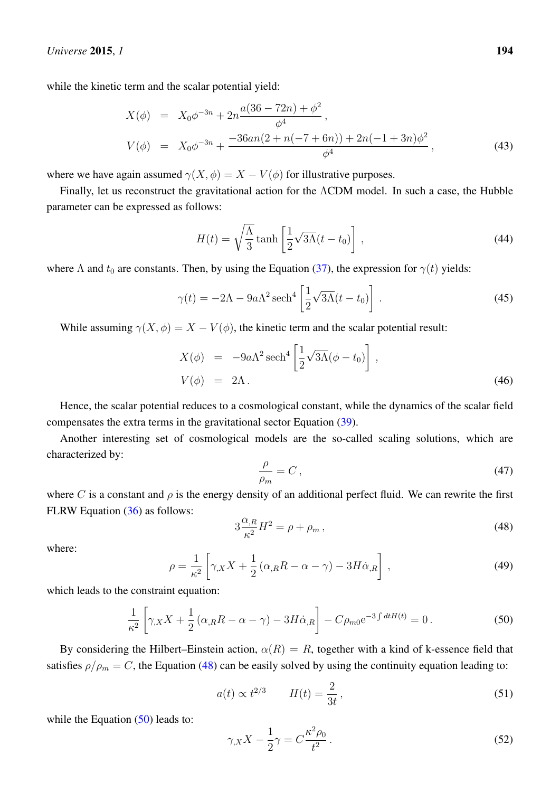while the kinetic term and the scalar potential yield:

$$
X(\phi) = X_0 \phi^{-3n} + 2n \frac{a(36 - 72n) + \phi^2}{\phi^4},
$$
  
\n
$$
V(\phi) = X_0 \phi^{-3n} + \frac{-36an(2 + n(-7 + 6n)) + 2n(-1 + 3n)\phi^2}{\phi^4},
$$
\n(43)

where we have again assumed  $\gamma(X, \phi) = X - V(\phi)$  for illustrative purposes.

Finally, let us reconstruct the gravitational action for the ΛCDM model. In such a case, the Hubble parameter can be expressed as follows:

$$
H(t) = \sqrt{\frac{\Lambda}{3}} \tanh\left[\frac{1}{2}\sqrt{3\Lambda}(t - t_0)\right],\tag{44}
$$

where  $\Lambda$  and  $t_0$  are constants. Then, by using the Equation [\(37\)](#page-7-0), the expression for  $\gamma(t)$  yields:

$$
\gamma(t) = -2\Lambda - 9a\Lambda^2 \operatorname{sech}^4\left[\frac{1}{2}\sqrt{3\Lambda}(t - t_0)\right].\tag{45}
$$

While assuming  $\gamma(X, \phi) = X - V(\phi)$ , the kinetic term and the scalar potential result:

$$
X(\phi) = -9a\Lambda^2 \operatorname{sech}^4\left[\frac{1}{2}\sqrt{3\Lambda}(\phi - t_0)\right],
$$
  
\n
$$
V(\phi) = 2\Lambda.
$$
\n(46)

Hence, the scalar potential reduces to a cosmological constant, while the dynamics of the scalar field compensates the extra terms in the gravitational sector Equation [\(39\)](#page-7-2).

Another interesting set of cosmological models are the so-called scaling solutions, which are characterized by:

$$
\frac{\rho}{\rho_m} = C \,,\tag{47}
$$

where C is a constant and  $\rho$  is the energy density of an additional perfect fluid. We can rewrite the first FLRW Equation [\(36\)](#page-7-3) as follows:

<span id="page-8-0"></span>
$$
3\frac{\alpha_{,R}}{\kappa^2}H^2 = \rho + \rho_m\,,\tag{48}
$$

where:

$$
\rho = \frac{1}{\kappa^2} \left[ \gamma_X X + \frac{1}{2} \left( \alpha_{,R} R - \alpha - \gamma \right) - 3H \dot{\alpha}_{,R} \right],\tag{49}
$$

which leads to the constraint equation:

<span id="page-8-1"></span>
$$
\frac{1}{\kappa^2} \left[ \gamma_{,X} X + \frac{1}{2} \left( \alpha_{,R} R - \alpha - \gamma \right) - 3H \dot{\alpha}_{,R} \right] - C \rho_{m0} e^{-3 \int dt H(t)} = 0. \tag{50}
$$

By considering the Hilbert–Einstein action,  $\alpha(R) = R$ , together with a kind of k-essence field that satisfies  $\rho/\rho_m = C$ , the Equation [\(48\)](#page-8-0) can be easily solved by using the continuity equation leading to:

$$
a(t) \propto t^{2/3} \qquad H(t) = \frac{2}{3t}, \tag{51}
$$

while the Equation  $(50)$  leads to:

<span id="page-8-2"></span>
$$
\gamma_{,X}X - \frac{1}{2}\gamma = C\frac{\kappa^2 \rho_0}{t^2} \,. \tag{52}
$$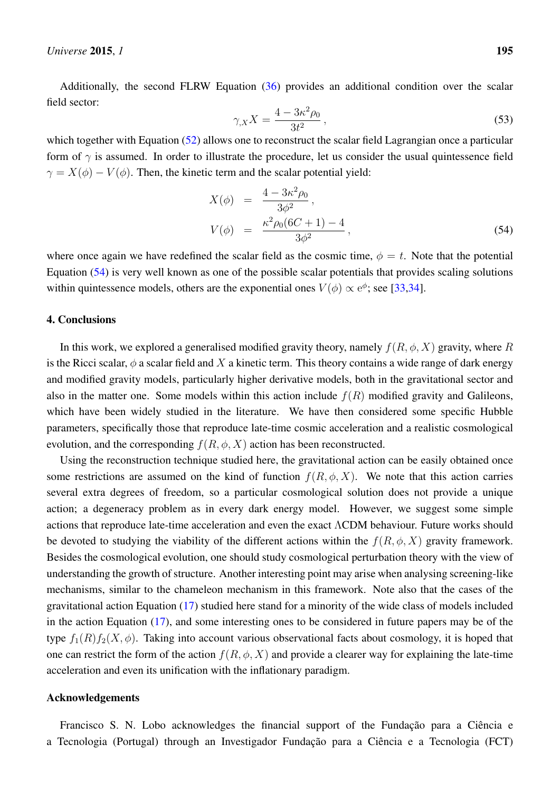Additionally, the second FLRW Equation [\(36\)](#page-7-3) provides an additional condition over the scalar field sector:

$$
\gamma_{,X} X = \frac{4 - 3\kappa^2 \rho_0}{3t^2} \,, \tag{53}
$$

which together with Equation [\(52\)](#page-8-2) allows one to reconstruct the scalar field Lagrangian once a particular form of  $\gamma$  is assumed. In order to illustrate the procedure, let us consider the usual quintessence field  $\gamma = X(\phi) - V(\phi)$ . Then, the kinetic term and the scalar potential yield:

<span id="page-9-1"></span>
$$
X(\phi) = \frac{4 - 3\kappa^2 \rho_0}{3\phi^2},
$$
  
\n
$$
V(\phi) = \frac{\kappa^2 \rho_0 (6C + 1) - 4}{3\phi^2},
$$
\n(54)

where once again we have redefined the scalar field as the cosmic time,  $\phi = t$ . Note that the potential Equation [\(54\)](#page-9-1) is very well known as one of the possible scalar potentials that provides scaling solutions within quintessence models, others are the exponential ones  $V(\phi) \propto e^{\phi}$ ; see [\[33](#page-11-13)[,34\]](#page-12-0).

## <span id="page-9-0"></span>4. Conclusions

In this work, we explored a generalised modified gravity theory, namely  $f(R, \phi, X)$  gravity, where R is the Ricci scalar,  $\phi$  a scalar field and X a kinetic term. This theory contains a wide range of dark energy and modified gravity models, particularly higher derivative models, both in the gravitational sector and also in the matter one. Some models within this action include  $f(R)$  modified gravity and Galileons, which have been widely studied in the literature. We have then considered some specific Hubble parameters, specifically those that reproduce late-time cosmic acceleration and a realistic cosmological evolution, and the corresponding  $f(R, \phi, X)$  action has been reconstructed.

Using the reconstruction technique studied here, the gravitational action can be easily obtained once some restrictions are assumed on the kind of function  $f(R, \phi, X)$ . We note that this action carries several extra degrees of freedom, so a particular cosmological solution does not provide a unique action; a degeneracy problem as in every dark energy model. However, we suggest some simple actions that reproduce late-time acceleration and even the exact ΛCDM behaviour. Future works should be devoted to studying the viability of the different actions within the  $f(R, \phi, X)$  gravity framework. Besides the cosmological evolution, one should study cosmological perturbation theory with the view of understanding the growth of structure. Another interesting point may arise when analysing screening-like mechanisms, similar to the chameleon mechanism in this framework. Note also that the cases of the gravitational action Equation [\(17\)](#page-4-2) studied here stand for a minority of the wide class of models included in the action Equation [\(17\)](#page-4-2), and some interesting ones to be considered in future papers may be of the type  $f_1(R)f_2(X, \phi)$ . Taking into account various observational facts about cosmology, it is hoped that one can restrict the form of the action  $f(R, \phi, X)$  and provide a clearer way for explaining the late-time acceleration and even its unification with the inflationary paradigm.

## Acknowledgements

Francisco S. N. Lobo acknowledges the financial support of the Fundação para a Ciência e a Tecnologia (Portugal) through an Investigador Fundação para a Ciência e a Tecnologia (FCT)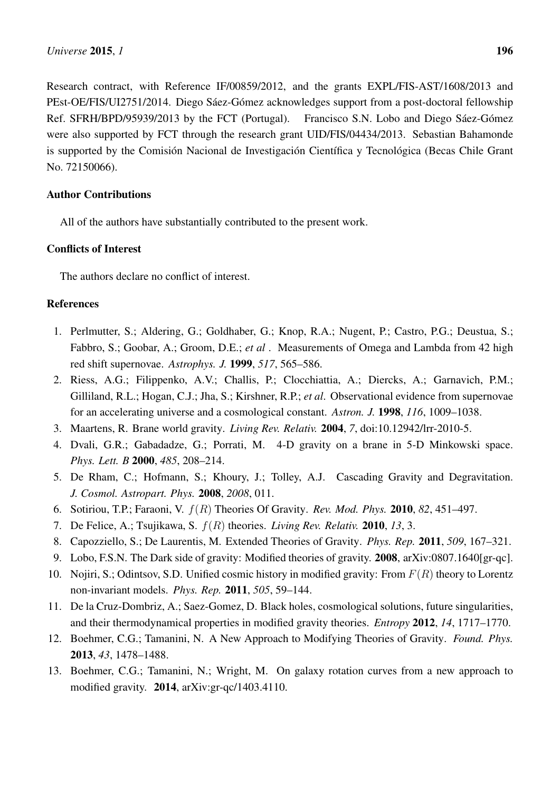Research contract, with Reference IF/00859/2012, and the grants EXPL/FIS-AST/1608/2013 and PEst-OE/FIS/UI2751/2014. Diego Sáez-Gómez acknowledges support from a post-doctoral fellowship Ref. SFRH/BPD/95939/2013 by the FCT (Portugal). Francisco S.N. Lobo and Diego Sáez-Gómez were also supported by FCT through the research grant UID/FIS/04434/2013. Sebastian Bahamonde is supported by the Comisión Nacional de Investigación Científica y Tecnológica (Becas Chile Grant No. 72150066).

# Author Contributions

All of the authors have substantially contributed to the present work.

# Conflicts of Interest

The authors declare no conflict of interest.

# References

- <span id="page-10-0"></span>1. Perlmutter, S.; Aldering, G.; Goldhaber, G.; Knop, R.A.; Nugent, P.; Castro, P.G.; Deustua, S.; Fabbro, S.; Goobar, A.; Groom, D.E.; *et al* . Measurements of Omega and Lambda from 42 high red shift supernovae. *Astrophys. J.* 1999, *517*, 565–586.
- <span id="page-10-1"></span>2. Riess, A.G.; Filippenko, A.V.; Challis, P.; Clocchiattia, A.; Diercks, A.; Garnavich, P.M.; Gilliland, R.L.; Hogan, C.J.; Jha, S.; Kirshner, R.P.; *et al*. Observational evidence from supernovae for an accelerating universe and a cosmological constant. *Astron. J.* 1998, *116*, 1009–1038.
- <span id="page-10-2"></span>3. Maartens, R. Brane world gravity. *Living Rev. Relativ.* 2004, *7*, doi:10.12942/lrr-2010-5.
- <span id="page-10-3"></span>4. Dvali, G.R.; Gabadadze, G.; Porrati, M. 4-D gravity on a brane in 5-D Minkowski space. *Phys. Lett. B* 2000, *485*, 208–214.
- <span id="page-10-4"></span>5. De Rham, C.; Hofmann, S.; Khoury, J.; Tolley, A.J. Cascading Gravity and Degravitation. *J. Cosmol. Astropart. Phys.* 2008, *2008*, 011.
- <span id="page-10-5"></span>6. Sotiriou, T.P.; Faraoni, V. f(R) Theories Of Gravity. *Rev. Mod. Phys.* 2010, *82*, 451–497.
- 7. De Felice, A.; Tsujikawa, S. f(R) theories. *Living Rev. Relativ.* 2010, *13*, 3.
- 8. Capozziello, S.; De Laurentis, M. Extended Theories of Gravity. *Phys. Rep.* 2011, *509*, 167–321.
- 9. Lobo, F.S.N. The Dark side of gravity: Modified theories of gravity. 2008, arXiv:0807.1640[gr-qc].
- 10. Nojiri, S.; Odintsov, S.D. Unified cosmic history in modified gravity: From  $F(R)$  theory to Lorentz non-invariant models. *Phys. Rep.* 2011, *505*, 59–144.
- <span id="page-10-6"></span>11. De la Cruz-Dombriz, A.; Saez-Gomez, D. Black holes, cosmological solutions, future singularities, and their thermodynamical properties in modified gravity theories. *Entropy* 2012, *14*, 1717–1770.
- <span id="page-10-7"></span>12. Boehmer, C.G.; Tamanini, N. A New Approach to Modifying Theories of Gravity. *Found. Phys.* 2013, *43*, 1478–1488.
- <span id="page-10-8"></span>13. Boehmer, C.G.; Tamanini, N.; Wright, M. On galaxy rotation curves from a new approach to modified gravity. 2014, arXiv:gr-qc/1403.4110.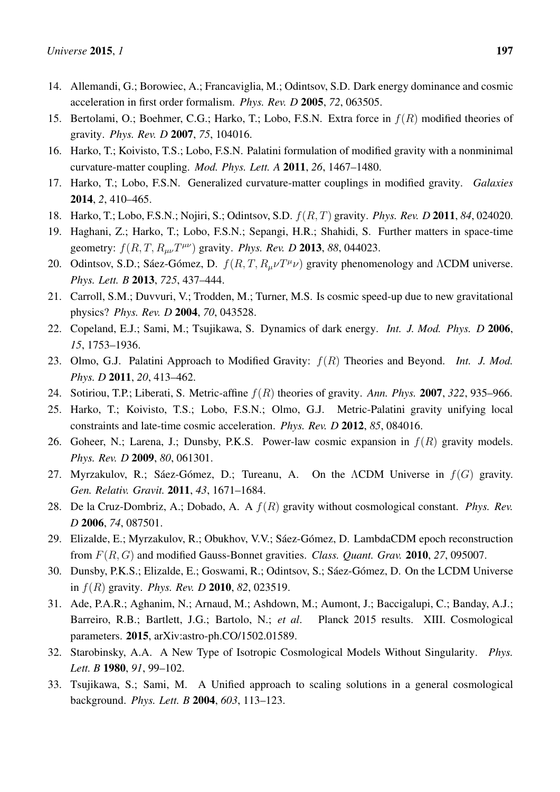- <span id="page-11-0"></span>14. Allemandi, G.; Borowiec, A.; Francaviglia, M.; Odintsov, S.D. Dark energy dominance and cosmic acceleration in first order formalism. *Phys. Rev. D* 2005, *72*, 063505.
- 15. Bertolami, O.; Boehmer, C.G.; Harko, T.; Lobo, F.S.N. Extra force in  $f(R)$  modified theories of gravity. *Phys. Rev. D* 2007, *75*, 104016.
- 16. Harko, T.; Koivisto, T.S.; Lobo, F.S.N. Palatini formulation of modified gravity with a nonminimal curvature-matter coupling. *Mod. Phys. Lett. A* 2011, *26*, 1467–1480.
- 17. Harko, T.; Lobo, F.S.N. Generalized curvature-matter couplings in modified gravity. *Galaxies* 2014, *2*, 410–465.
- 18. Harko, T.; Lobo, F.S.N.; Nojiri, S.; Odintsov, S.D. f(R, T) gravity. *Phys. Rev. D* 2011, *84*, 024020.
- 19. Haghani, Z.; Harko, T.; Lobo, F.S.N.; Sepangi, H.R.; Shahidi, S. Further matters in space-time geometry:  $f(R, T, R_{\mu\nu}T^{\mu\nu})$  gravity. *Phys. Rev. D* 2013, 88, 044023.
- <span id="page-11-1"></span>20. Odintsov, S.D.; Sáez-Gómez, D.  $f(R, T, R_\mu\nu T^\mu\nu)$  gravity phenomenology and  $\Lambda$ CDM universe. *Phys. Lett. B* 2013, *725*, 437–444.
- <span id="page-11-2"></span>21. Carroll, S.M.; Duvvuri, V.; Trodden, M.; Turner, M.S. Is cosmic speed-up due to new gravitational physics? *Phys. Rev. D* 2004, *70*, 043528.
- <span id="page-11-3"></span>22. Copeland, E.J.; Sami, M.; Tsujikawa, S. Dynamics of dark energy. *Int. J. Mod. Phys. D* 2006, *15*, 1753–1936.
- <span id="page-11-4"></span>23. Olmo, G.J. Palatini Approach to Modified Gravity: f(R) Theories and Beyond. *Int. J. Mod. Phys. D* 2011, *20*, 413–462.
- <span id="page-11-5"></span>24. Sotiriou, T.P.; Liberati, S. Metric-affine f(R) theories of gravity. *Ann. Phys.* 2007, *322*, 935–966.
- <span id="page-11-6"></span>25. Harko, T.; Koivisto, T.S.; Lobo, F.S.N.; Olmo, G.J. Metric-Palatini gravity unifying local constraints and late-time cosmic acceleration. *Phys. Rev. D* 2012, *85*, 084016.
- <span id="page-11-7"></span>26. Goheer, N.; Larena, J.; Dunsby, P.K.S. Power-law cosmic expansion in  $f(R)$  gravity models. *Phys. Rev. D* 2009, *80*, 061301.
- <span id="page-11-8"></span>27. Myrzakulov, R.; Sáez-Gómez, D.; Tureanu, A. On the ΛCDM Universe in  $f(G)$  gravity. *Gen. Relativ. Gravit.* 2011, *43*, 1671–1684.
- <span id="page-11-9"></span>28. De la Cruz-Dombriz, A.; Dobado, A. A f(R) gravity without cosmological constant. *Phys. Rev. D* 2006, *74*, 087501.
- 29. Elizalde, E.; Myrzakulov, R.; Obukhov, V.V.; Sáez-Gómez, D. LambdaCDM epoch reconstruction from F(R, G) and modified Gauss-Bonnet gravities. *Class. Quant. Grav.* 2010, *27*, 095007.
- <span id="page-11-10"></span>30. Dunsby, P.K.S.; Elizalde, E.; Goswami, R.; Odintsov, S.; Sáez-Gómez, D. On the LCDM Universe in f(R) gravity. *Phys. Rev. D* 2010, *82*, 023519.
- <span id="page-11-11"></span>31. Ade, P.A.R.; Aghanim, N.; Arnaud, M.; Ashdown, M.; Aumont, J.; Baccigalupi, C.; Banday, A.J.; Barreiro, R.B.; Bartlett, J.G.; Bartolo, N.; *et al*. Planck 2015 results. XIII. Cosmological parameters. 2015, arXiv:astro-ph.CO/1502.01589.
- <span id="page-11-12"></span>32. Starobinsky, A.A. A New Type of Isotropic Cosmological Models Without Singularity. *Phys. Lett. B* 1980, *91*, 99–102.
- <span id="page-11-13"></span>33. Tsujikawa, S.; Sami, M. A Unified approach to scaling solutions in a general cosmological background. *Phys. Lett. B* 2004, *603*, 113–123.